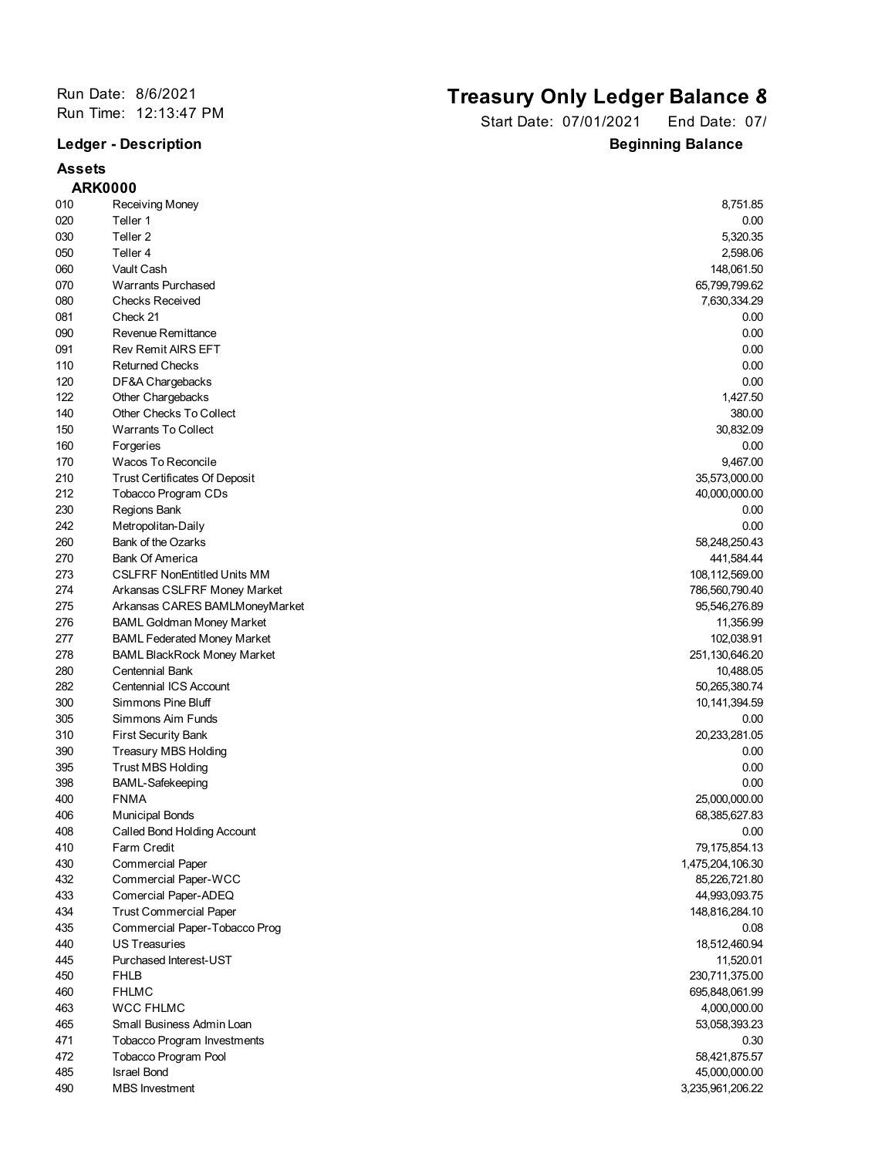## **Assets ARK0000**

## Run Date: 8/6/2021<br>
Run Time: 12:13:47 PM<br> **Run Time: 12:13:47 PM**<br> **Run Time: 12:13:47 PM**

Start Date: 07/01/2021 End Date: 07/ **Ledger - Description Beginning Balance** 

|     | <b>ARK0000</b>                       |                  |
|-----|--------------------------------------|------------------|
| 010 | Receiving Money                      | 8,751.85         |
| 020 | Teller 1                             | 0.00             |
| 030 | Teller <sub>2</sub>                  | 5,320.35         |
| 050 | Teller 4                             | 2,598.06         |
| 060 | Vault Cash                           | 148,061.50       |
| 070 | <b>Warrants Purchased</b>            | 65,799,799.62    |
| 080 | <b>Checks Received</b>               | 7,630,334.29     |
| 081 | Check 21                             | 0.00             |
| 090 | Revenue Remittance                   | 0.00             |
| 091 | <b>Rev Remit AIRS EFT</b>            | 0.00             |
| 110 | <b>Returned Checks</b>               | 0.00             |
| 120 | DF&A Chargebacks                     | 0.00             |
| 122 | Other Chargebacks                    | 1,427.50         |
| 140 | Other Checks To Collect              | 380.00           |
| 150 | Warrants To Collect                  | 30,832.09        |
| 160 | Forgeries                            | 0.00             |
| 170 | Wacos To Reconcile                   | 9,467.00         |
| 210 | <b>Trust Certificates Of Deposit</b> | 35,573,000.00    |
| 212 | Tobacco Program CDs                  | 40,000,000.00    |
| 230 | Regions Bank                         | 0.00             |
| 242 | Metropolitan-Daily                   | 0.00             |
| 260 | <b>Bank of the Ozarks</b>            | 58,248,250.43    |
| 270 | <b>Bank Of America</b>               | 441,584.44       |
| 273 | <b>CSLFRF NonEntitled Units MM</b>   |                  |
| 274 |                                      | 108,112,569.00   |
|     | Arkansas CSLFRF Money Market         | 786,560,790.40   |
| 275 | Arkansas CARES BAMLMoneyMarket       | 95,546,276.89    |
| 276 | <b>BAML Goldman Money Market</b>     | 11,356.99        |
| 277 | <b>BAML Federated Money Market</b>   | 102,038.91       |
| 278 | <b>BAML BlackRock Money Market</b>   | 251,130,646.20   |
| 280 | Centennial Bank                      | 10,488.05        |
| 282 | <b>Centennial ICS Account</b>        | 50,265,380.74    |
| 300 | Simmons Pine Bluff                   | 10, 141, 394.59  |
| 305 | Simmons Aim Funds                    | 0.00             |
| 310 | <b>First Security Bank</b>           | 20,233,281.05    |
| 390 | Treasury MBS Holding                 | 0.00             |
| 395 | <b>Trust MBS Holding</b>             | 0.00             |
| 398 | <b>BAML-Safekeeping</b>              | 0.00             |
| 400 | <b>FNMA</b>                          | 25,000,000.00    |
| 406 | <b>Municipal Bonds</b>               | 68,385,627.83    |
| 408 | Called Bond Holding Account          | 0.00             |
| 410 | Farm Credit                          | 79,175,854.13    |
| 430 | <b>Commercial Paper</b>              | 1,475,204,106.30 |
| 432 | Commercial Paper-WCC                 | 85,226,721.80    |
| 433 | Comercial Paper-ADEQ                 | 44,993,093.75    |
| 434 | <b>Trust Commercial Paper</b>        | 148,816,284.10   |
| 435 | Commercial Paper-Tobacco Prog        | 0.08             |
| 440 | <b>US Treasuries</b>                 | 18,512,460.94    |
| 445 | Purchased Interest-UST               | 11,520.01        |
| 450 | <b>FHLB</b>                          | 230,711,375.00   |
| 460 | <b>FHLMC</b>                         | 695,848,061.99   |
| 463 | <b>WCC FHLMC</b>                     | 4,000,000.00     |
| 465 | Small Business Admin Loan            | 53,058,393.23    |
| 471 | <b>Tobacco Program Investments</b>   | 0.30             |
| 472 | Tobacco Program Pool                 | 58,421,875.57    |
| 485 | <b>Israel Bond</b>                   | 45,000,000.00    |
| 490 | <b>MBS</b> Investment                | 3,235,961,206.22 |
|     |                                      |                  |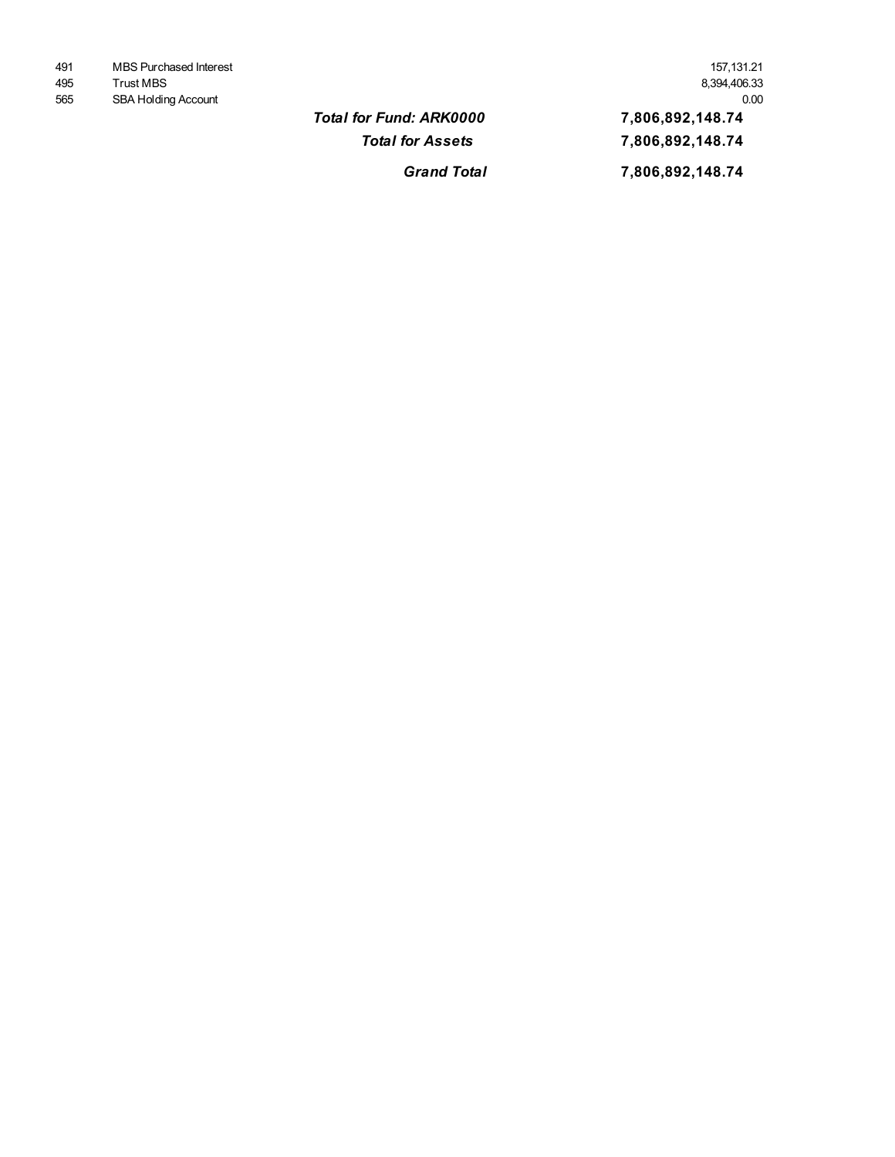| 491 | MBS Purchased Interest     | 157.131.21   |
|-----|----------------------------|--------------|
| 495 | Trust MBS                  | 8,394,406.33 |
| 565 | <b>SBA Holding Account</b> | 0.00         |

*Grand Total* **<b>2006**,892,148.74 **Total for Fund: ARK0000 <b>22000 7,806,892,148.74** *Total for Assets* **2006,892,148.74** 565 SBA Holding Account 0.00 495 Trust MBS 8,394,406.33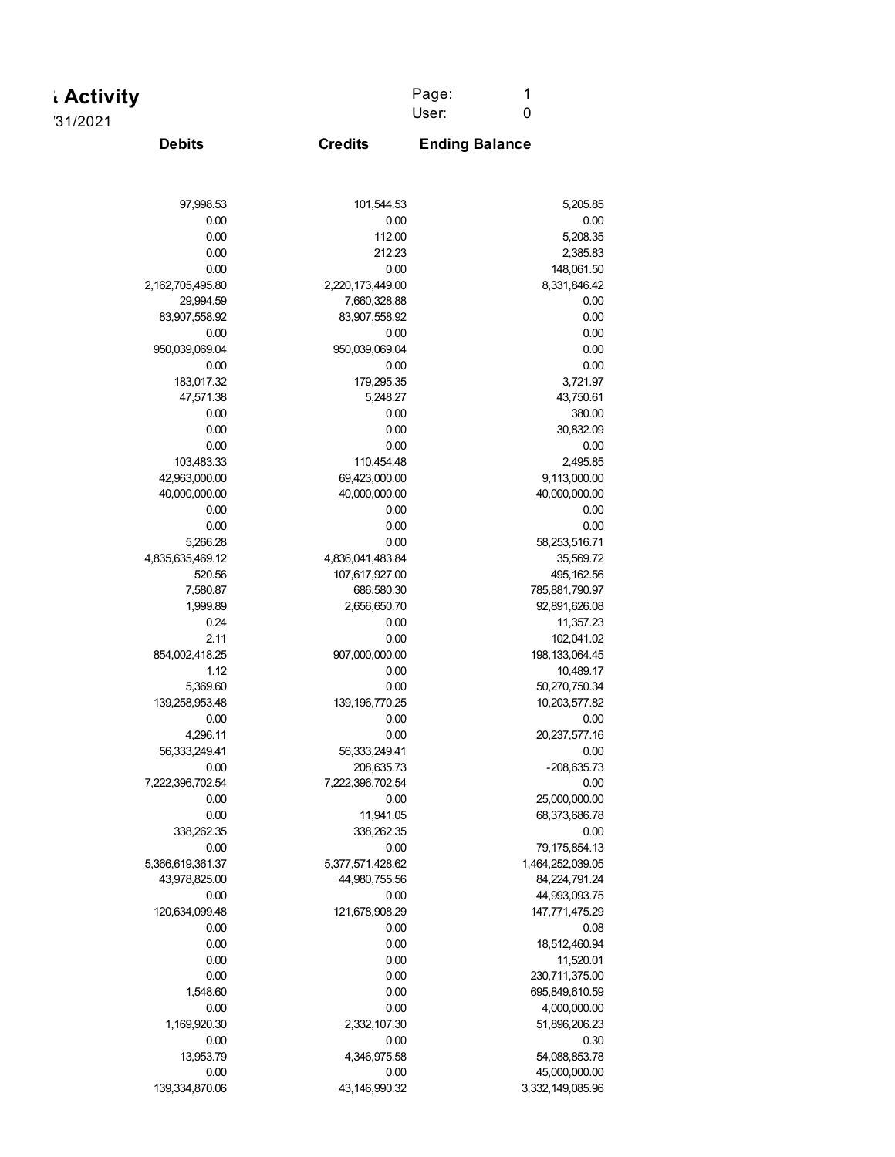| . Activity | Page: |  |
|------------|-------|--|
| '31/2021   | User: |  |

**Credits**

**Debits Ending Balance**

| 97,998.53        | 101,544.53        | 5,205.85          |
|------------------|-------------------|-------------------|
| 0.00             | 0.00              | 0.00              |
| 0.00             | 112.00            | 5,208.35          |
| 0.00             | 212.23            | 2,385.83          |
| 0.00             | 0.00              | 148,061.50        |
| 2,162,705,495.80 | 2,220,173,449.00  | 8,331,846.42      |
| 29,994.59        | 7,660,328.88      | 0.00              |
| 83,907,558.92    | 83,907,558.92     | 0.00              |
| 0.00             | 0.00              | 0.00              |
| 950,039,069.04   | 950,039,069.04    | 0.00              |
| 0.00             | 0.00              | 0.00              |
| 183,017.32       | 179,295.35        | 3,721.97          |
| 47,571.38        | 5,248.27          | 43,750.61         |
| 0.00             | 0.00              | 380.00            |
| 0.00             | 0.00              | 30,832.09         |
| 0.00             | 0.00              | 0.00              |
| 103,483.33       | 110,454.48        | 2,495.85          |
| 42,963,000.00    | 69,423,000.00     | 9,113,000.00      |
| 40,000,000.00    | 40,000,000.00     | 40,000,000.00     |
| 0.00             | 0.00              | 0.00              |
| 0.00             | 0.00              | 0.00              |
| 5,266.28         | 0.00              | 58,253,516.71     |
| 4,835,635,469.12 | 4,836,041,483.84  | 35,569.72         |
| 520.56           | 107,617,927.00    | 495, 162.56       |
| 7,580.87         | 686,580.30        | 785,881,790.97    |
| 1,999.89         | 2,656,650.70      | 92,891,626.08     |
| 0.24             | 0.00              | 11,357.23         |
| 2.11             | 0.00              | 102,041.02        |
| 854,002,418.25   | 907,000,000.00    | 198, 133, 064. 45 |
| 1.12             | 0.00              | 10,489.17         |
| 5,369.60         | 0.00              | 50,270,750.34     |
| 139,258,953.48   | 139, 196, 770. 25 | 10,203,577.82     |
| 0.00             | 0.00              | 0.00              |
| 4,296.11         | 0.00              | 20,237,577.16     |
| 56,333,249.41    | 56,333,249.41     | 0.00              |
| 0.00             | 208,635.73        | $-208,635.73$     |
| 7,222,396,702.54 | 7,222,396,702.54  | 0.00              |
| 0.00             | 0.00              | 25,000,000.00     |
| 0.00             | 11,941.05         | 68,373,686.78     |
| 338,262.35       | 338,262.35        | 0.00              |
| 0.00             | 0.00              | 79,175,854.13     |
| 5,366,619,361.37 | 5,377,571,428.62  | 1,464,252,039.05  |
| 43,978,825.00    | 44,980,755.56     | 84,224,791.24     |
| 0.00             | 0.00              | 44,993,093.75     |
| 120,634,099.48   | 121,678,908.29    | 147,771,475.29    |
| 0.00             | 0.00              | 0.08              |
| 0.00             | 0.00              | 18,512,460.94     |
| 0.00             | 0.00              | 11,520.01         |
| 0.00             | 0.00              | 230,711,375.00    |
| 1,548.60         | 0.00              | 695,849,610.59    |

139,334,870.06 43,146,990.32 3,332,149,085.96

0.00 0.00 45,000,000.00 13,953.79 4,346,975.58 54,088,853.78 0.00 0.00 0.30 1,169,920.30 2,332,107.30 51,896,206.23 0.00 0.00 4,000,000.00